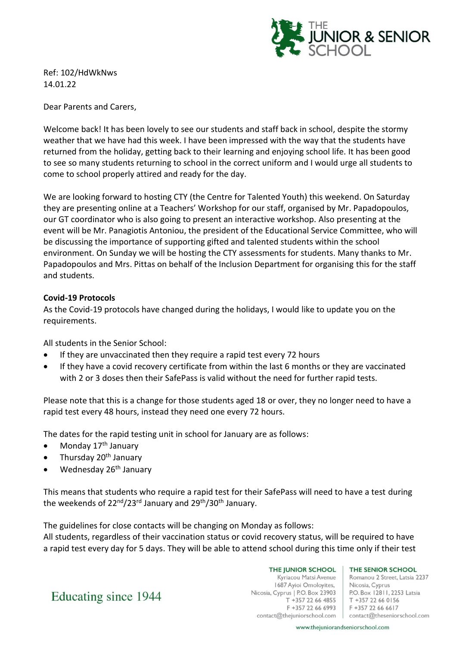

Ref: 102/HdWkNws 14.01.22

Dear Parents and Carers,

Welcome back! It has been lovely to see our students and staff back in school, despite the stormy weather that we have had this week. I have been impressed with the way that the students have returned from the holiday, getting back to their learning and enjoying school life. It has been good to see so many students returning to school in the correct uniform and I would urge all students to come to school properly attired and ready for the day.

We are looking forward to hosting CTY (the Centre for Talented Youth) this weekend. On Saturday they are presenting online at a Teachers' Workshop for our staff, organised by Mr. Papadopoulos, our GT coordinator who is also going to present an interactive workshop. Also presenting at the event will be Mr. Panagiotis Antoniou, the president of the Educational Service Committee, who will be discussing the importance of supporting gifted and talented students within the school environment. On Sunday we will be hosting the CTY assessments for students. Many thanks to Mr. Papadopoulos and Mrs. Pittas on behalf of the Inclusion Department for organising this for the staff and students.

## **Covid-19 Protocols**

As the Covid-19 protocols have changed during the holidays, I would like to update you on the requirements.

All students in the Senior School:

- If they are unvaccinated then they require a rapid test every 72 hours
- If they have a covid recovery certificate from within the last 6 months or they are vaccinated with 2 or 3 doses then their SafePass is valid without the need for further rapid tests.

Please note that this is a change for those students aged 18 or over, they no longer need to have a rapid test every 48 hours, instead they need one every 72 hours.

The dates for the rapid testing unit in school for January are as follows:

- Monday  $17<sup>th</sup>$  January
- Thursday 20<sup>th</sup> January
- Wednesday 26<sup>th</sup> January

This means that students who require a rapid test for their SafePass will need to have a test during the weekends of 22<sup>nd</sup>/23<sup>rd</sup> January and 29<sup>th</sup>/30<sup>th</sup> January.

The guidelines for close contacts will be changing on Monday as follows: All students, regardless of their vaccination status or covid recovery status, will be required to have a rapid test every day for 5 days. They will be able to attend school during this time only if their test

> THE JUNIOR SCHOOL Kyriacou Matsi Avenue 1687 Ayioi Omoloyites, Nicosia, Cyprus | P.O. Box 23903 T +357 22 66 4855 F +357 22 66 6993

THE SENIOR SCHOOL

Romanou 2 Street, Latsia 2237 Nicosia, Cyprus P.O. Box 12811, 2253 Latsia T +357 22 66 0156 F +357 22 66 6617 contact@thejuniorschool.com | contact@theseniorschool.com

Educating since 1944